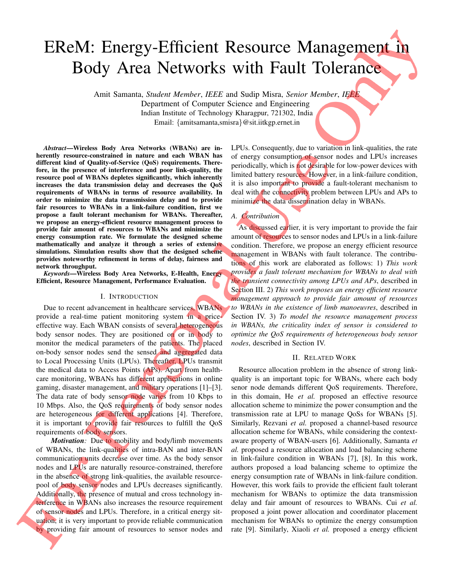# EReM: Energy-Efficient Resource Management in Body Area Networks with Fault Tolerance

Amit Samanta, *Student Member*, *IEEE* and Sudip Misra, *Senior Member*, *IEEE* Department of Computer Science and Engineering Indian Institute of Technology Kharagpur, 721302, India Email: {amitsamanta,smisra}@sit.iitkgp.ernet.in

*Abstract*—Wireless Body Area Networks (WBANs) are inherently resource-constrained in nature and each WBAN has different kind of Quality-of-Service (QoS) requirements. Therefore, in the presence of interference and poor link-quality, the resource pool of WBANs depletes significantly, which inherently increases the data transmission delay and decreases the QoS requirements of WBANs in terms of resource availability. In order to minimize the data transmission delay and to provide fair resources to WBANs in a link-failure condition, first we propose a fault tolerant mechanism for WBANs. Thereafter, we propose an energy-efficient resource management process to provide fair amount of resources to WBANs and minimize the energy consumption rate. We formulate the designed scheme mathematically and analyze it through a series of extensive simulations. Simulation results show that the designed scheme provides noteworthy refinement in terms of delay, fairness and network throughput.

*Keywords*—Wireless Body Area Networks, E-Health, Energy Efficient, Resource Management, Performance Evaluation.

# I. INTRODUCTION

Due to recent advancement in healthcare services, WBANs provide a real-time patient monitoring system in a priceeffective way. Each WBAN consists of several heterogeneous body sensor nodes. They are positioned on or in body to monitor the medical parameters of the patients. The placed on-body sensor nodes send the sensed and aggregated data to Local Processing Units (LPUs). Thereafter, LPUs transmit the medical data to Access Points (APs). Apart from healthcare monitoring, WBANs has different applications in online gaming, disaster management, and military operations [1]–[3]. The data rate of body sensor node varies from 10 Kbps to 10 Mbps. Also, the QoS requirements of body sensor nodes are heterogeneous for different applications [4]. Therefore, it is important to provide fair resources to fulfill the QoS requirements of body sensors.

*Motivation:* Due to mobility and body/limb movements of WBANs, the link-qualities of intra-BAN and inter-BAN communication units decrease over time. As the body sensor nodes and LPUs are naturally resource-constrained, therefore in the absence of strong link-qualities, the available resourcepool of body sensor nodes and LPUs decreases significantly. Additionally, the presence of mutual and cross technology interference in WBANs also increases the resource requirement of sensor nodes and LPUs. Therefore, in a critical energy situation, it is very important to provide reliable communication by providing fair amount of resources to sensor nodes and

LPUs. Consequently, due to variation in link-qualities, the rate of energy consumption of sensor nodes and LPUs increases periodically, which is not desirable for low-power devices with limited battery resources. However, in a link-failure condition, it is also important to provide a fault-tolerant mechanism to deal with the connectivity problem between LPUs and APs to minimize the data dissemination delay in WBANs.

# *A. Contribution*

As discussed earlier, it is very important to provide the fair amount of resources to sensor nodes and LPUs in a link-failure condition. Therefore, we propose an energy efficient resource management in WBANs with fault tolerance. The contributions of this work are elaborated as follows: 1) *This work provides a fault tolerant mechanism for WBANs to deal with the transient connectivity among LPUs and APs*, described in Section III. 2) *This work proposes an energy efficient resource management approach to provide fair amount of resources to WBANs in the existence of limb manoeuvres*, described in Section IV. 3) *To model the resource management process in WBANs, the criticality index of sensor is considered to optimize the QoS requirements of heterogeneous body sensor nodes*, described in Section IV.

#### II. RELATED WORK

Resource allocation problem in the absence of strong linkquality is an important topic for WBANs, where each body senor node demands different QoS requirements. Therefore, in this domain, He *et al.* proposed an effective resource allocation scheme to minimize the power consumption and the transmission rate at LPU to manage QoSs for WBANs [5]. Similarly, Rezvani *et al.* proposed a channel-based resource allocation scheme for WBANs, while considering the contextaware property of WBAN-users [6]. Additionally, Samanta *et al.* proposed a resource allocation and load balancing scheme in link-failure condition in WBANs [7], [8]. In this work, authors proposed a load balancing scheme to optimize the energy consumption rate of WBANs in link-failure condition. However, this work fails to provide the efficient fault tolerant mechanism for WBANs to optimize the data transmission delay and fair amount of resources to WBANs. Cui *et al.* proposed a joint power allocation and coordinator placement mechanism for WBANs to optimize the energy consumption rate [9]. Similarly, Xiaoli *et al.* proposed a energy efficient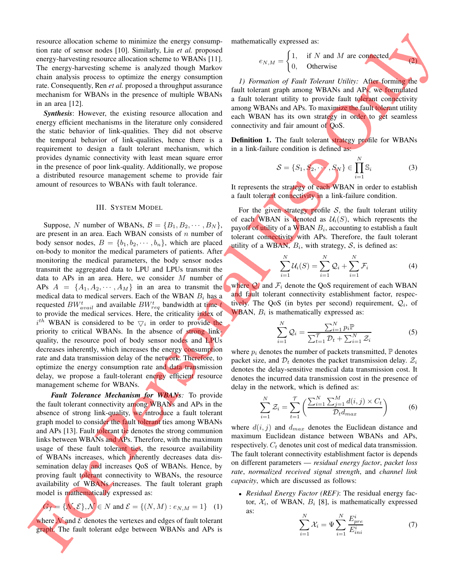resource allocation scheme to minimize the energy consumption rate of sensor nodes [10]. Similarly, Liu *et al.* proposed energy-harvesting resource allocation scheme to WBANs [11]. The energy-harvesting scheme is analyzed though Markov chain analysis process to optimize the energy consumption rate. Consequently, Ren *et al.* proposed a throughput assurance mechanism for WBANs in the presence of multiple WBANs in an area [12].

**Synthesis:** However, the existing resource allocation and energy efficient mechanisms in the literature only considered the static behavior of link-qualities. They did not observe the temporal behavior of link-qualities, hence there is a requirement to design a fault tolerant mechanism, which provides dynamic connectivity with least mean square error in the presence of poor link-quality. Additionally, we propose a distributed resource management scheme to provide fair amount of resources to WBANs with fault tolerance.

### III. SYSTEM MODEL

Suppose, N number of WBANs,  $\mathcal{B} = \{B_1, B_2, \cdots, B_N\},\$ are present in an area. Each WBAN consists of  $n$  number of body sensor nodes,  $B = \{b_1, b_2, \dots, b_n\}$ , which are placed on-body to monitor the medical parameters of patients. After monitoring the medical parameters, the body sensor nodes transmit the aggregated data to LPU and LPUs transmit the data to APs in an area. Here, we consider  $M$  number of APs  $A = \{A_1, A_2, \dots, A_M\}$  in an area to transmit the medical data to medical servers. Each of the WBAN  $B_i$  has a requested  $BW_{avail}^t$  and available  $BW_{req}^t$  bandwidth at time t to provide the medical services. Here, the criticality index of  $i^{th}$  WBAN is considered to be  $\bigtriangledown_i$  in order to provide the priority to critical WBANs. In the absence of strong linkquality, the resource pool of body sensor nodes and LPUs decreases inherently, which increases the energy consumption rate and data transmission delay of the network. Therefore, to optimize the energy consumption rate and data transmission delay, we propose a fault-tolerant energy efficient resource management scheme for WBANs.

*Fault Tolerance Mechanism for WBANs:* To provide the fault tolerant connectivity among WBANs and APs in the absence of strong link-quality, we introduce a fault tolerant graph model to consider the fault tolerant ties among WBANs and APs [13]. Fault tolerant tie denotes the strong communion links between WBANs and APs. Therefore, with the maximum usage of these fault tolerant ties, the resource availability of WBANs increases, which inherently decreases data dissemination delay and increases QoS of WBANs. Hence, by proving fault tolerant connectivity to WBANs, the resource availability of WBANs increases. The fault tolerant graph model is mathematically expressed as:

$$
G_f = \{ \mathcal{N}, \mathcal{E} \}, \mathcal{N} \in N \text{ and } \mathcal{E} = \{ (N, M) : e_{N, M} = 1 \} \quad (1)
$$

where  $\mathcal N$  and  $\mathcal E$  denotes the vertexes and edges of fault tolerant graph. The fault tolerant edge between WBANs and APs is mathematically expressed as:

$$
e_{N,M} = \begin{cases} 1, & \text{if } N \text{ and } M \text{ are connected} \\ 0, & \text{Otherwise} \end{cases}
$$

(2)

*1) Formation of Fault Tolerant Utility:* After forming the fault tolerant graph among WBANs and APs, we formulated a fault tolerant utility to provide fault tolerant connectivity among WBANs and APs. To maximize the fault tolerant utility each WBAN has its own strategy in order to get seamless connectivity and fair amount of QoS.

Definition 1. The fault tolerant strategy profile for WBANs in a link-failure condition is defined as:

$$
\mathcal{S} = \{S_1, S_2, \cdots, S_N\} \in \prod_{i=1}^N \mathbb{S}_i \tag{3}
$$

It represents the strategy of each WBAN in order to establish a fault tolerant connectivity in a link-failure condition.

For the given strategy profile  $S$ , the fault tolerant utility of each WBAN is denoted as  $\mathcal{U}_i(S)$ , which represents the payoff of utility of a WBAN  $B_i,$  accounting to establish a fault tolerant connectivity with APs. Therefore, the fault tolerant utility of a WBAN,  $B_i$ , with strategy,  $S$ , is defined as:

$$
\sum_{i=1}^{N} \mathcal{U}_i(S) = \sum_{i=1}^{N} \mathcal{Q}_i + \sum_{i=1}^{N} \mathcal{F}_i
$$
 (4)

where  $Q_i$  and  $F_i$  denote the QoS requirement of each WBAN and fault tolerant connectivity establishment factor, respectively. The QoS (in bytes per second) requirement,  $Q_i$ , of WBAN,  $B_i$  is mathematically expressed as:

$$
\sum_{i=1}^{N} \mathcal{Q}_i = \frac{\sum_{i=1}^{N} p_i \mathbb{P}}{\sum_{t=1}^{T} \mathcal{D}_t + \sum_{i=1}^{N} \mathcal{Z}_i}
$$
(5)

where  $p_i$  denotes the number of packets transmitted,  $\mathbb P$  denotes packet size, and  $\mathcal{D}_t$  denotes the packet transmission delay.  $\mathcal{Z}_i$ denotes the delay-sensitive medical data transmission cost. It denotes the incurred data transmission cost in the presence of delay in the network, which is defined as:

$$
\sum_{i=1}^{N} Z_i = \sum_{t=1}^{T} \left( \frac{\sum_{i=1}^{N} \sum_{j=1}^{M} d(i,j) \times C_t}{D_t d_{max}} \right)
$$
 (6)

where  $d(i, j)$  and  $d_{max}$  denotes the Euclidean distance and maximum Euclidean distance between WBANs and APs, respectively.  $C_t$  denotes unit cost of medical data transmission. The fault tolerant connectivity establishment factor is depends on different parameters — *residual energy factor*, *packet loss rate*, *normalized received signal strength*, and *channel link capacity*, which are discussed as follows:

• *Residual Energy Factor (REF)*: The residual energy factor,  $\mathcal{X}_i$ , of WBAN,  $B_i$  [8], is mathematically expressed as:

$$
\sum_{i=1}^{N} \mathcal{X}_i = \Psi \sum_{i=1}^{N} \frac{E_{pre}^i}{E_{ini}^i}
$$
 (7)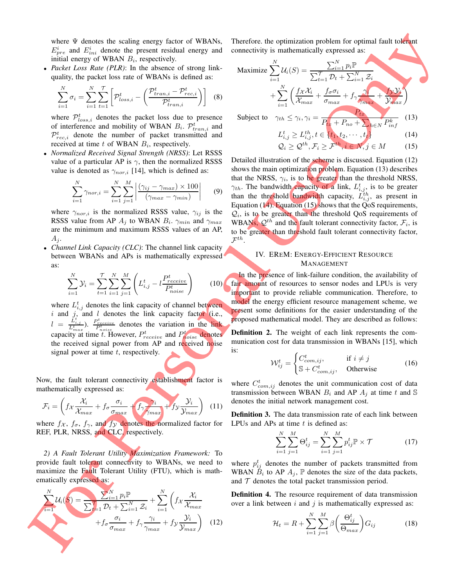where  $\Psi$  denotes the scaling energy factor of WBANs,  $E_{pre}^{i}$  and  $E_{ini}^{i}$  denote the present residual energy and initial energy of WBAN  $B_i$ , respectively.

• *Packet Loss Rate (PLR)*: In the absence of strong linkquality, the packet loss rate of WBANs is defined as:

$$
\sum_{i=1}^{N} \sigma_i = \sum_{i=1}^{N} \sum_{t=1}^{T} \left[ \mathcal{P}_{loss,i}^t - \left( \frac{\mathcal{P}_{tran,i}^t - \mathcal{P}_{rec,i}^t}{\mathcal{P}_{tran,i}^t} \right) \right]
$$
(8)

where  $\mathcal{P}_{loss,i}^{t}$  denotes the packet loss due to presence of interference and mobility of WBAN  $B_i$ .  $\mathcal{P}_{tran,i}^t$  and  $\mathcal{P}_{rec,i}^{t}$  denote the number of packet transmitted and received at time  $t$  of WBAN  $B_i$ , respectively.

• *Normalized Received Signal Strength (NRSS)*: Let RSSS value of a particular AP is  $\gamma$ , then the normalized RSSS value is denoted as  $\gamma_{nor,i}$  [14], which is defined as:

$$
\sum_{i=1}^{N} \gamma_{nor,i} = \sum_{i=1}^{N} \sum_{j=1}^{M} \left| \frac{(\gamma_{ij} - \gamma_{max}) \times 100}{(\gamma_{max} - \gamma_{min})} \right| \qquad (9)
$$

where  $\gamma_{nor,i}$  is the normalized RSSS value,  $\gamma_{ij}$  is the RSSS value from AP  $A_j$  to WBAN  $B_i$ .  $\gamma_{min}$  and  $\gamma_{max}$ are the minimum and maximum RSSS values of an AP,  $A_i$ .

• *Channel Link Capacity (CLC)*: The channel link capacity between WBANs and APs is mathematically expressed as:

$$
\sum_{i=1}^{N} \mathcal{Y}_{i} = \sum_{t=1}^{T} \sum_{i=1}^{N} \sum_{j=1}^{M} \left( L_{i,j}^{t} - l \frac{P_{receive}^{t}}{P_{noise}^{t}} \right)
$$
 (10)

where  $L_{i,j}^{t}$  denotes the link capacity of channel between  $i$  and  $j$ , and  $l$  denotes the link capacity factor (i.e.,  $l = \frac{\tilde{L}_{i,j}^t}{L_{max}^t}$ .  $\frac{P_{receiver}^t}{P_{noise}^t}$  denotes the variation in the link capacity at time t. However,  $P_{receive}^t$  and  $P_{noise}^t$  denotes the received signal power from AP and received noise signal power at time  $t$ , respectively.

Now, the fault tolerant connectivity establishment factor is mathematically expressed as:

$$
\mathcal{F}_i = \left( f \chi \frac{\mathcal{X}_i}{\mathcal{X}_{max}} + f \sigma \frac{\sigma_i}{\sigma_{max}} + f \gamma \frac{\mathcal{Y}_i}{\gamma_{max}} + f \gamma \frac{\mathcal{Y}_i}{\mathcal{Y}_{max}} \right) \tag{11}
$$

where  $f_{\mathcal{X}}$ ,  $f_{\sigma}$ ,  $f_{\gamma}$ , and  $f_{\mathcal{Y}}$  denotes the normalized factor for REF, PLR, NRSS, and CLC, respectively.

*2) A Fault Tolerant Utility Maximization Framework:* To provide fault tolerant connectivity to WBANs, we need to maximize the Fault Tolerant Utility (FTU), which is mathematically expressed as:

$$
\sum_{i=1}^{N} \mathcal{U}_i(S) = \frac{\sum_{i=1}^{N} p_i \mathbb{P}}{\sum_{i=1}^{T} \mathcal{D}_t + \sum_{i=1}^{N} \mathcal{Z}_i} + \sum_{i=1}^{N} \left( f_X \frac{\mathcal{X}_i}{\mathcal{X}_{max}} + f_{\sigma} \frac{\sigma_i}{\sigma_{max}} + f_{\gamma} \frac{\gamma_i}{\gamma_{max}} + f_{\gamma} \frac{\mathcal{Y}_i}{\gamma_{max}} \right) \tag{12}
$$

Therefore. the optimization problem for optimal fault tolerant connectivity is mathematically expressed as:

Maximize 
$$
\sum_{i=1}^{N} U_i(S) = \frac{\sum_{i=1}^{N} p_i \mathbb{P}}{\sum_{t=1}^{T} \mathcal{D}_t + \sum_{i=1}^{N} \mathcal{Z}_i} + \sum_{i=1}^{N} \left( \frac{f_{\mathcal{X}} \mathcal{X}_i}{\mathcal{X}_{max}} + \frac{f_{\sigma} \sigma_i}{\sigma_{max}} + f_{\gamma} \frac{\mathcal{N}_i}{\gamma_{max}} + \frac{f_{\mathcal{Y}} \mathcal{Y}_i}{\mathcal{Y}_{max}} \right)
$$
  
Subject to 
$$
\gamma_{th} \leq \gamma_i, \gamma_i = \frac{P_{tx}}{P_{tx} + P_{no} + \sum_{h \in N} P_{inf}^k}
$$
(13)

$$
L_{i,j}^t \ge L_{i,j}^{th}, t \in \{t_1, t_2, \cdots, t_t\}
$$
 (14)

$$
\mathcal{Q}_i \ge \mathcal{Q}^{th}, \mathcal{F}_i \ge \mathcal{F}^{th}, i \in \mathcal{N}, j \in \mathcal{M}
$$
 (15)

Detailed illustration of the scheme is discussed. Equation (12) shows the main optimization problem. Equation (13) describes that the NRSS,  $\gamma_i$ , is to be greater than the threshold NRSS,  $\gamma_{th}$ . The bandwidth capacity of a link,  $L_{i,j}^t$ , is to be greater than the threshold bandwidth capacity,  $\tilde{L}_{i,j}^{th}$ , as present in Equation (14). Equation (15) shows that the  $\tilde{\text{Q}}$  requirements,  $Q_i$ , is to be greater than the threshold QoS requirements of WBANs,  $\mathcal{Q}^{th}$  and the fault tolerant connectivity factor,  $\mathcal{F}_i$ , is to be greater than threshold fault tolerant connectivity factor,  $\mathcal{F}^{th}.$ 

# IV. EREM: ENERGY-EFFICIENT RESOURCE MANAGEMENT

In the presence of link-failure condition, the availability of fair amount of resources to sensor nodes and LPUs is very important to provide reliable communication. Therefore, to model the energy efficient resource management scheme, we present some definitions for the easier understanding of the proposed mathematical model. They are described as follows:

Definition 2. The weight of each link represents the communication cost for data transmission in WBANs [15], which is:

$$
\mathcal{W}_{ij}^t = \begin{cases} C_{com,ij}^t, & \text{if } i \neq j \\ \mathbb{S} + C_{com,ij}^t, & \text{Otherwise} \end{cases}
$$
 (16)

where  $C_{com,ij}^t$  denotes the unit communication cost of data transmission between WBAN  $B_i$  and AP  $A_j$  at time t and S denotes the initial network management cost.

Definition 3. The data transmission rate of each link between LPUs and APs at time  $t$  is defined as:

$$
\sum_{i=1}^{N} \sum_{j=1}^{M} \Theta_{ij}^{t} = \sum_{i=1}^{N} \sum_{j=1}^{M} p_{ij}^{t} \mathbb{P} \times \mathcal{T}
$$
 (17)

where  $p_{ij}^t$  denotes the number of packets transmitted from WBAN  $B_i$  to AP  $A_j$ ,  $\mathbb P$  denotes the size of the data packets, and  $T$  denotes the total packet transmission period.

Definition 4. The resource requirement of data transmission over a link between  $i$  and  $j$  is mathematically expressed as:

$$
\mathcal{H}_t = R + \sum_{i=1}^{N} \sum_{j=1}^{M} \beta \left( \frac{\Theta_{ij}^t}{\Theta_{max}} \right) G_{ij}
$$
(18)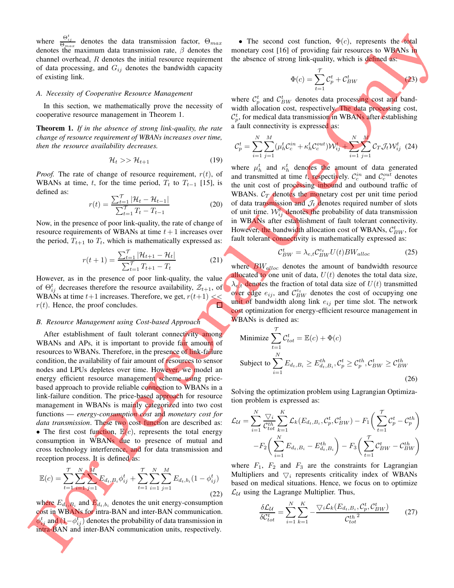where  $\frac{\Theta_{ij}^t}{\Theta_{max}}$  denotes the data transmission factor,  $\Theta_{max}$ denotes the maximum data transmission rate,  $\beta$  denotes the channel overhead,  $R$  denotes the initial resource requirement of data processing, and  $G_{ij}$  denotes the bandwidth capacity of existing link.

#### *A. Necessity of Cooperative Resource Management*

In this section, we mathematically prove the necessity of cooperative resource management in Theorem 1.

Theorem 1. *If in the absence of strong link-quality, the rate change of resource requirement of WBANs increases over time, then the resource availability decreases.*

$$
\mathcal{H}_t \gg \mathcal{H}_{t+1} \tag{19}
$$

*Proof.* The rate of change of resource requirement,  $r(t)$ , of WBANs at time, t, for the time period,  $T_t$  to  $T_{t-1}$  [15], is defined as:

$$
r(t) = \frac{\sum_{t=1}^{T} |\mathcal{H}_t - \mathcal{H}_{t-1}|}{\sum_{t=1}^{T} T_t - T_{t-1}}
$$
(20)

Now, in the presence of poor link-quality, the rate of change of resource requirements of WBANs at time  $t + 1$  increases over the period,  $T_{t+1}$  to  $T_t$ , which is mathematically expressed as:

$$
r(t+1) = \frac{\sum_{t=1}^{T} |\mathcal{H}_{t+1} - \mathcal{H}_t|}{\sum_{t=1}^{T} T_{t+1} - T_t}
$$
(21)

However, as in the presence of poor link-quality, the value of  $\Theta_{ij}^{t}$  decreases therefore the resource availability,  $\mathcal{Z}_{t+1}$ , of WBANs at time  $t+1$  increases. Therefore, we get,  $r(t+1) \ll$  $r(t)$ . Hence, the proof concludes.

## *B. Resource Management using Cost-based Approach*

After establishment of fault tolerant connectivity among WBANs and APs, it is important to provide fair amount of resources to WBANs. Therefore, in the presence of link-failure condition, the availability of fair amount of resources to sensor nodes and LPUs depletes over time. However, we model an energy efficient resource management scheme using pricebased approach to provide reliable connection to WBANs in a link-failure condition. The price-based approach for resource management in WBANs is mainly categorized into two cost functions — *energy-consumption cost* and *monetary cost for data transmission*. These two cost function are described as: • The first cost function,  $\mathbb{E}(c)$ , represents the total energy consumption in WBANs due to presence of mutual and cross technology interference, and for data transmission and reception process. It is defined as:

$$
\mathbb{E}(c) = \sum_{t=1}^{T} \sum_{j=1}^{N} \sum_{j=1}^{M} E_{d_t, B_i} \phi_{ij}^t + \sum_{t=1}^{T} \sum_{i=1}^{N} \sum_{j=1}^{M} E_{d_t, b_i} (1 - \phi_{ij}^t)
$$
\n(22)

where  $E_{d_t, B_i}$  and  $E_{d_t, b_i}$  denotes the unit energy-consumption cost in WBANs for intra-BAN and inter-BAN communication.  $\phi_{ij}^t$  and  $(1-\phi_{ij}^t)$  denotes the probability of data transmission in intra-BAN and inter-BAN communication units, respectively.

• The second cost function,  $\Phi(c)$ , represents the total monetary cost [16] of providing fair resources to WBANs in the absence of strong link-quality, which is defined as:

$$
\Phi(c) = \sum_{t=1}^{T} C_p^t + C_{BW}^t
$$
\n(23)

where  $\mathcal{C}_p^t$  and  $\mathcal{C}_{BW}^t$  denotes data processing cost and bandwidth allocation cost, respectively. The data processing cost,  $\mathcal{C}_p^t$ , for medical data transmission in WBANs after establishing a fault connectivity is expressed as:

$$
\mathcal{C}_p^t = \sum_{i=1}^N \sum_{j=1}^M (\mu_h^t \mathcal{C}_c^{in} + \kappa_h^t \mathcal{C}_c^{out}) \mathcal{W}_{ij}^t + \sum_{i=1}^N \sum_{j=1}^M \mathcal{C}_T \mathcal{J}_t \mathcal{W}_{ij}^t
$$
 (24)

where  $\mu_h^t$  and  $\kappa_h^t$  denotes the amount of data generated and transmitted at time t, respectively.  $C_c^{in}$  and  $C_c^{out}$  denotes the unit cost of processing inbound and outbound traffic of WBANs.  $C_T$  denotes the monetary cost per unit time period of data transmission and  $\mathcal{J}_t$  denotes required number of slots of unit time.  $W_{ij}^t$  denotes the probability of data transmission in WBANs after establishment of fault tolerant connectivity. However, the bandwidth allocation cost of WBANs,  $\mathcal{C}_{BW}^{t}$ , for fault tolerant connectivity is mathematically expressed as:

$$
\mathcal{C}_{BW}^{t} = \lambda_{e,t} \mathcal{C}_{BW}^{e_t} U(t) BW_{alloc} \tag{25}
$$

where  $BW_{alloc}$  denotes the amount of bandwidth resource allocated to one unit of data,  $U(t)$  denotes the total data size,  $\lambda_{e,t}$  denotes the fraction of total data size of  $U(t)$  transmitted over edge  $e_{ij}$ , and  $C_{BW}^{e_t}$  denotes the cost of occupying one unit of bandwidth along link  $e_{ij}$  per time slot. The network cost optimization for energy-efficient resource management in WBANs is defined as:

Minimize 
$$
\sum_{t=1}^{T} C_{tot}^{t} = \mathbb{E}(c) + \Phi(c)
$$
  
Subject to 
$$
\sum_{i=1}^{N} E_{d_t, B_i} \ge E_{d_t, B_i}^{th}, C_p^t \ge C_p^{th}, C_{BW}^t \ge C_{BW}^{th}
$$
(26)

Solving the optimization problem using Lagrangian Optimization problem is expressed as:

$$
\mathcal{L}_{\mathcal{U}} = \sum_{i=1}^{N} \frac{\nabla_{i}^{i}}{C_{tot}^{th}} \sum_{k=1}^{K} \mathcal{L}_{k} (E_{d_{t}, B_{i}}, C_{p}^{t}, C_{BW}^{t}) - F_{1} \bigg( \sum_{t=1}^{T} C_{p}^{t} - C_{p}^{th} \bigg) - F_{2} \bigg( \sum_{i=1}^{N} E_{d_{t}, B_{i}} - E_{d_{t}, B_{i}}^{th} \bigg) - F_{3} \bigg( \sum_{t=1}^{T} C_{BW}^{t} - C_{BW}^{th} \bigg)
$$

where  $F_1$ ,  $F_2$  and  $F_3$  are the constraints for Lagrangian Multipliers and  $\nabla i$  represents criticality index of WBANs based on medical situations. Hence, we focus on to optimize  $\mathcal{L}_{\mathcal{U}}$  using the Lagrange Multiplier. Thus,

$$
\frac{\delta \mathcal{L}_{\mathcal{U}}}{\delta \mathcal{C}_{tot}^t} = \sum_{i=1}^{N} \sum_{k=1}^{K} -\frac{\nabla_i \mathcal{L}_k(E_{d_t, B_i}, \mathcal{C}_p^t, \mathcal{C}_{BW}^t)}{\mathcal{C}_{tot}^{th}^2}
$$
(27)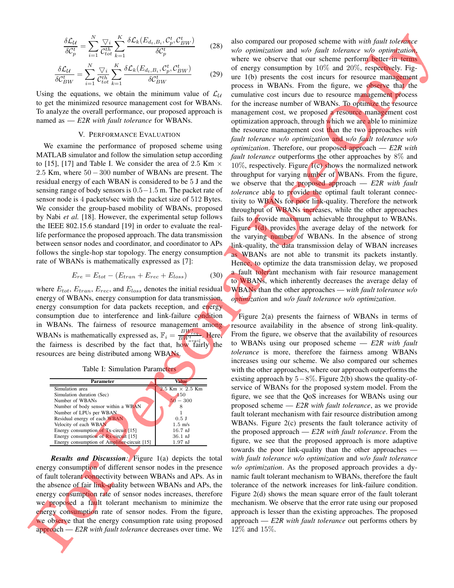$$
\frac{\delta \mathcal{L}_{\mathcal{U}}}{\delta \mathcal{C}_{p}^{t}} = \sum_{i=1}^{N} \frac{\nabla_{i}}{\mathcal{C}_{tot}^{th}} \sum_{k=1}^{K} \frac{\delta \mathcal{L}_{k}(E_{d_{t}, B_{i}}, \mathcal{C}_{p}^{t}, \mathcal{C}_{BW}^{t})}{\delta \mathcal{C}_{p}^{t}}
$$
(28)

$$
\frac{\delta \mathcal{L}_{\mathcal{U}}}{\delta \mathcal{C}_{BW}^{t}} = \sum_{i=1}^{N} \frac{\nabla_i}{\mathcal{C}_{tot}^{th}} \sum_{k=1}^{K} \frac{\delta \mathcal{L}_k(E_{d_t, B_i}, \mathcal{C}_p^t, \mathcal{C}_{BW}^t)}{\delta \mathcal{C}_{BW}^{t}}
$$
(29)

Using the equations, we obtain the minimum value of  $\mathcal{L}_{\mathcal{U}}$ to get the minimized resource management cost for WBANs. To analyze the overall performance, our proposed approach is named as — *E2R with fault tolerance* for WBANs.

## V. PERFORMANCE EVALUATION

We examine the performance of proposed scheme using MATLAB simulator and follow the simulation setup according to [15], [17] and Table I. We consider the area of 2.5 Km  $\times$ 2.5 Km, where  $50 - 300$  number of WBANs are present. The residual energy of each WBAN is considered to be 5 J and the sensing range of body sensors is 0.5−1.5 m. The packet rate of sensor node is 4 packets/sec with the packet size of 512 Bytes. We consider the group-based mobility of WBANs, proposed by Nabi *et al.* [18]. However, the experimental setup follows the IEEE 802.15.6 standard [19] in order to evaluate the reallife performance the proposed approach. The data transmission between sensor nodes and coordinator, and coordinator to APs follows the single-hop star topology. The energy consumption rate of WBANs is mathematically expressed as [7]:

$$
E_{re} = E_{tot} - (E_{tran} + E_{rec} + E_{loss})
$$
 (30)

where  $E_{tot}$ ,  $E_{tran}$ ,  $E_{rec}$ , and  $E_{loss}$  denotes the initial residual energy of WBANs, energy consumption for data transmission, energy consumption for data packets reception, and energy consumption due to interference and link-failure condition in WBANs. The fairness of resource management among WBANs is mathematically expressed as,  $\mathbb{F}_i = \frac{BW_{req}^t}{BW_{avg}^t}$ . Here, the fairness is described by the fact that, how fairly the resources are being distributed among WBANs.

|  | Table I: Simulation Parameters |  |
|--|--------------------------------|--|
|--|--------------------------------|--|

| Parameter                                    | Value                    |
|----------------------------------------------|--------------------------|
| Simulation area                              | $2.5$ Km $\times$ 2.5 Km |
| Simulation duration (Sec)                    | 150                      |
| Number of WBANs                              | $-300$                   |
| Number of body sensor within a WBAN          |                          |
| Number of LPUs per WBAN                      |                          |
| Residual energy of each WBAN                 | $0.5$ J                  |
| Velocity of each WBAN                        | $1.5 \text{ m/s}$        |
| Energy consumption of $Tx$ -circuit [15]     | $16.7$ nJ                |
| Energy consumption of Rx-circuit [15]        | $36.1$ nJ                |
| Energy consumption of Amplifier-circuit [15] | $1.97$ nJ                |

*Results and Discussion:* Figure 1(a) depicts the total energy consumption of different sensor nodes in the presence of fault tolerant connectivity between WBANs and APs. As in the absence of fair link-quality between WBANs and APs, the energy consumption rate of sensor nodes increases, therefore we proposed a fault tolerant mechanism to minimize the energy consumption rate of sensor nodes. From the figure, we observe that the energy consumption rate using proposed approach — *E2R with fault tolerance* decreases over time. We

also compared our proposed scheme with *with fault tolerance w/o optimization* and *w/o fault tolerance w/o optimization*, where we observe that our scheme perform better in terms of energy consumption by  $10\%$  and  $20\%$ , respectively. Figure 1(b) presents the cost incurs for resource management process in WBANs. From the figure, we observe that the cumulative cost incurs due to resource management process for the increase number of WBANs. To optimize the resource management cost, we proposed a resource management cost optimization approach, through which we are able to minimize the resource management cost than the two approaches *with fault tolerance w/o optimization* and *w/o fault tolerance w/o optimization*. Therefore, our proposed approach — *E2R with fault tolerance* outperforms the other approaches by 8% and 10%, respectively. Figure 1(c) shows the normalized network throughput for varying number of WBANs. From the figure, we observe that the proposed approach — *E2R with fault tolerance* able to provide the optimal fault tolerant connectivity to WBANs for poor link-quality. Therefore the network throughput of WBANs increases, while the other approaches fails to provide maximum achievable throughput to WBANs. Figure  $1(d)$  provides the average delay of the network for the varying number of WBANs. In the absence of strong link-quality, the data transmission delay of WBAN increases as WBANs are not able to transmit its packets instantly. Hence, to optimize the data transmission delay, we proposed a fault tolerant mechanism with fair resource management to WBANs, which inherently decreases the average delay of WBANs than the other approaches — *with fault tolerance w/o optimization* and *w/o fault tolerance w/o optimization*.

Figure 2(a) presents the fairness of WBANs in terms of resource availability in the absence of strong link-quality. From the figure, we observe that the availability of resources to WBANs using our proposed scheme — *E2R with fault tolerance* is more, therefore the fairness among WBANs increases using our scheme. We also compared our schemes with the other approaches, where our approach outperforms the existing approach by  $5-8\%$ . Figure 2(b) shows the quality-ofservice of WBANs for the proposed system model. From the figure, we see that the QoS increases for WBANs using our proposed scheme — *E2R with fault tolerance*, as we provide fault tolerant mechanism with fair resource distribution among WBANs. Figure 2(c) presents the fault tolerance activity of the proposed approach — *E2R with fault tolerance*. From the figure, we see that the proposed approach is more adaptive towards the poor link-quality than the other approaches *with fault tolerance w/o optimization* and *w/o fault tolerance w/o optimization*. As the proposed approach provides a dynamic fault tolerant mechanism to WBANs, therefore the fault tolerance of the network increases for link-failure condition. Figure 2(d) shows the mean square error of the fault tolerant mechanism. We observe that the error rate using our proposed approach is lesser than the existing approaches. The proposed approach — *E2R with fault tolerance* out performs others by 12% and 15%.